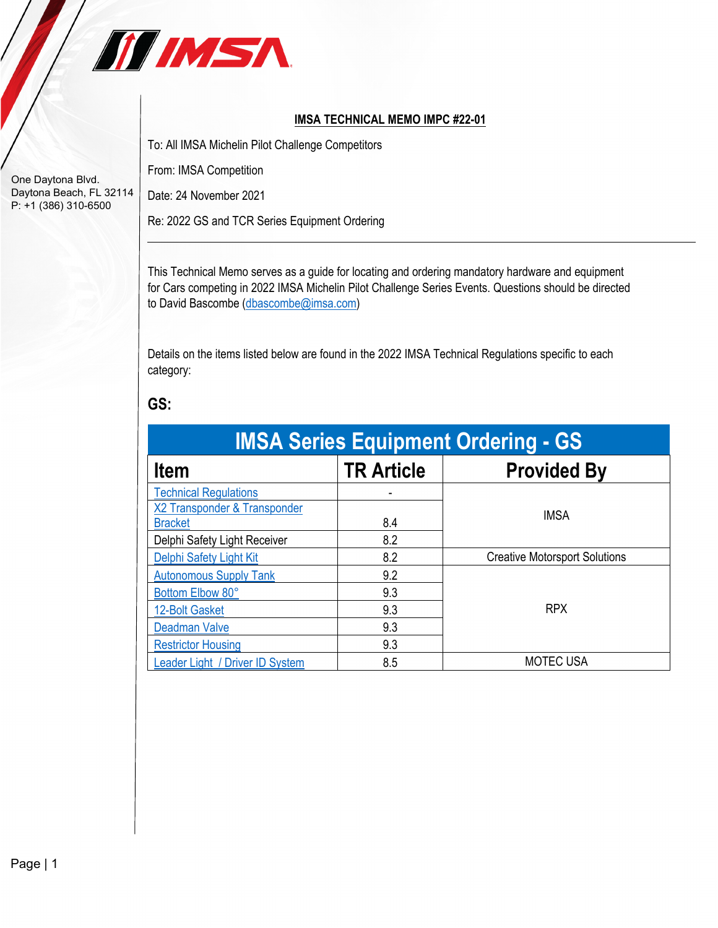

## **IMSA TECHNICAL MEMO IMPC #22-01**

To: All IMSA Michelin Pilot Challenge Competitors

From: IMSA Competition

Date: 24 November 2021

Re: 2022 GS and TCR Series Equipment Ordering

This Technical Memo serves as a guide for locating and ordering mandatory hardware and equipment for Cars competing in 2022 IMSA Michelin Pilot Challenge Series Events. Questions should be directed to David Bascombe [\(dbascombe@imsa.com\)](mailto:dbascombe@imsa.com)

Details on the items listed below are found in the 2022 IMSA Technical Regulations specific to each category:

## **GS:**

| <b>IMSA Series Equipment Ordering - GS</b> |                   |                                      |  |
|--------------------------------------------|-------------------|--------------------------------------|--|
| <b>Item</b>                                | <b>TR Article</b> | <b>Provided By</b>                   |  |
| <b>Technical Regulations</b>               |                   |                                      |  |
| X2 Transponder & Transponder               |                   | <b>IMSA</b>                          |  |
| <b>Bracket</b>                             | 8.4               |                                      |  |
| Delphi Safety Light Receiver               | 8.2               |                                      |  |
| Delphi Safety Light Kit                    | 8.2               | <b>Creative Motorsport Solutions</b> |  |
| <b>Autonomous Supply Tank</b>              | 9.2               |                                      |  |
| Bottom Elbow 80°                           | 9.3               |                                      |  |
| 12-Bolt Gasket                             | 9.3               | <b>RPX</b>                           |  |
| <b>Deadman Valve</b>                       | 9.3               |                                      |  |
| <b>Restrictor Housing</b>                  | 9.3               |                                      |  |
| Leader Light / Driver ID System            | 8.5               | <b>MOTEC USA</b>                     |  |

One Daytona Blvd. Daytona Beach, FL 32114 P: +1 (386) 310-6500